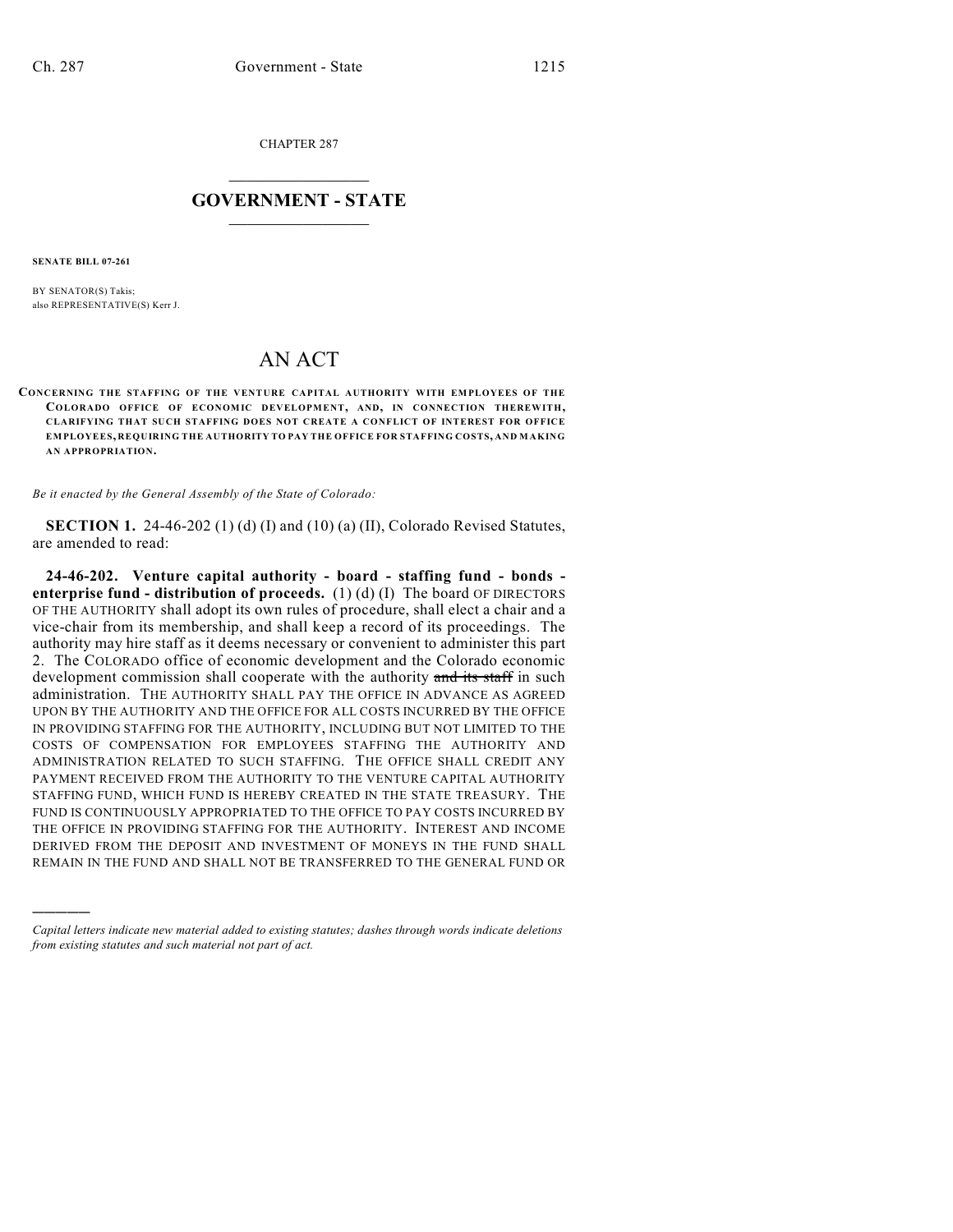CHAPTER 287

## $\mathcal{L}_\text{max}$  . The set of the set of the set of the set of the set of the set of the set of the set of the set of the set of the set of the set of the set of the set of the set of the set of the set of the set of the set **GOVERNMENT - STATE**  $\_$   $\_$   $\_$   $\_$   $\_$   $\_$   $\_$   $\_$

**SENATE BILL 07-261**

)))))

BY SENATOR(S) Takis; also REPRESENTATIVE(S) Kerr J.

## AN ACT

**CONCERNING THE STAFFING OF THE VENTURE CAPITAL AUTHORITY WITH EMPLOYEES OF THE COLORADO OFFICE OF ECONOMIC DEVELOPMENT, AND, IN CONNECTION THEREWITH, CLARIFYING THAT SUCH STAFFING DOES NOT CREATE A CONFLICT OF INTEREST FOR OFFICE EMPLOYEES, REQUIRING THE AUTHORITY TO PAY THE OFFICE FOR STAFFING COSTS, AND MAKING AN APPROPRIATION.**

*Be it enacted by the General Assembly of the State of Colorado:*

**SECTION 1.** 24-46-202 (1) (d) (I) and (10) (a) (II), Colorado Revised Statutes, are amended to read:

**24-46-202. Venture capital authority - board - staffing fund - bonds enterprise fund - distribution of proceeds.** (1) (d) (I) The board OF DIRECTORS OF THE AUTHORITY shall adopt its own rules of procedure, shall elect a chair and a vice-chair from its membership, and shall keep a record of its proceedings. The authority may hire staff as it deems necessary or convenient to administer this part 2. The COLORADO office of economic development and the Colorado economic development commission shall cooperate with the authority and its staff in such administration. THE AUTHORITY SHALL PAY THE OFFICE IN ADVANCE AS AGREED UPON BY THE AUTHORITY AND THE OFFICE FOR ALL COSTS INCURRED BY THE OFFICE IN PROVIDING STAFFING FOR THE AUTHORITY, INCLUDING BUT NOT LIMITED TO THE COSTS OF COMPENSATION FOR EMPLOYEES STAFFING THE AUTHORITY AND ADMINISTRATION RELATED TO SUCH STAFFING. THE OFFICE SHALL CREDIT ANY PAYMENT RECEIVED FROM THE AUTHORITY TO THE VENTURE CAPITAL AUTHORITY STAFFING FUND, WHICH FUND IS HEREBY CREATED IN THE STATE TREASURY. THE FUND IS CONTINUOUSLY APPROPRIATED TO THE OFFICE TO PAY COSTS INCURRED BY THE OFFICE IN PROVIDING STAFFING FOR THE AUTHORITY. INTEREST AND INCOME DERIVED FROM THE DEPOSIT AND INVESTMENT OF MONEYS IN THE FUND SHALL REMAIN IN THE FUND AND SHALL NOT BE TRANSFERRED TO THE GENERAL FUND OR

*Capital letters indicate new material added to existing statutes; dashes through words indicate deletions from existing statutes and such material not part of act.*